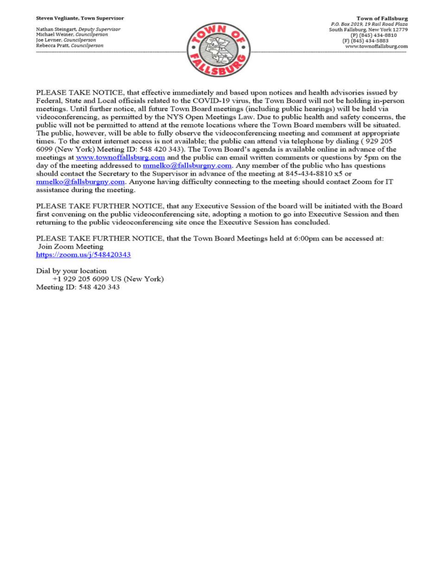Nathan Steingart, Deputy Supervisor Michael Weiner, Councilperson Joe Levner, Councilperson Rebecca Pratt, Councilperson



PLEASE TAKE NOTICE, that effective immediately and based upon notices and health advisories issued by Federal, State and Local officials related to the COVID-19 virus, the Town Board will not be holding in-person meetings. Until further notice, all future Town Board meetings (including public hearings) will be held via videoconferencing, as permitted by the NYS Open Meetings Law. Due to public health and safety concerns, the public will not be permitted to attend at the remote locations where the Town Board members will be situated. The public, however, will be able to fully observe the videoconferencing meeting and comment at appropriate times. To the extent internet access is not available; the public can attend via telephone by dialing (929 205 6099 (New York) Meeting ID: 548 420 343). The Town Board's agenda is available online in advance of the meetings at www.townoffallsburg.com and the public can email written comments or questions by 5pm on the day of the meeting addressed to  $\frac{mmelko@fallsburgny.com}{mclubuygny.com}$ . Any member of the public who has questions should contact the Secretary to the Supervisor in advance of the meeting at 845-434-8810 x5 or  $mmelko@fallsburgny.com.$  Anyone having difficulty connecting to the meeting should contact Zoom for IT assistance during the meeting.

PLEASE TAKE FURTHER NOTICE, that any Executive Session of the board will be initiated with the Board first convening on the public videoconferencing site, adopting a motion to go into Executive Session and then returning to the public videoconferencing site once the Executive Session has concluded.

PLEASE TAKE FURTHER NOTICE, that the Town Board Meetings held at 6:00pm can be accessed at: Join Zoom Meeting https://zoom.us/j/548420343

Dial by your location +1 929 205 6099 US (New York) Meeting ID: 548 420 343